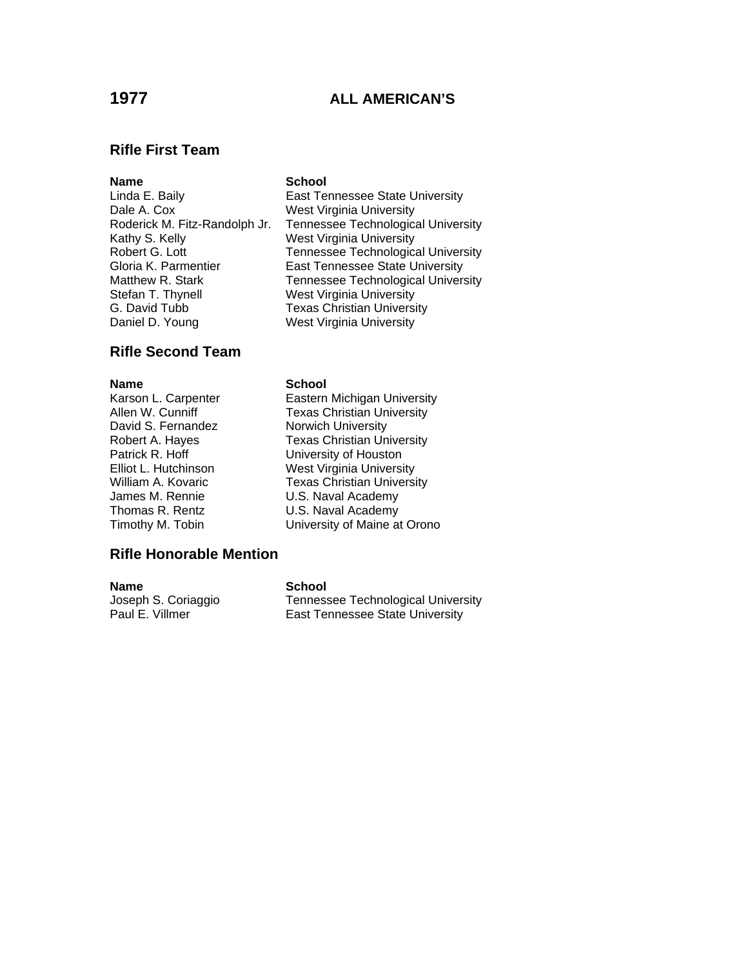# **1977 ALL AMERICAN'S**

Tennessee Technological University

### **Rifle First Team**

### **Name** School

Linda E. Baily **East Tennessee State University** Dale A. Cox West Virginia University<br>Roderick M. Fitz-Randolph Jr. Tennessee Technologica Kathy S. Kelly West Virginia University Robert G. Lott Tennessee Technological University Gloria K. Parmentier **East Tennessee State University** Matthew R. Stark Tennessee Technological University Stefan T. Thynell West Virginia University G. David Tubb Texas Christian University Daniel D. Young West Virginia University

# **Rifle Second Team**

### **Name** School

David S. Fernandez Norwich University

Karson L. Carpenter **Eastern Michigan University**<br>Allen W. Cunniff **Exas Christian University Texas Christian University** Robert A. Hayes Texas Christian University Patrick R. Hoff University of Houston Elliot L. Hutchinson West Virginia University William A. Kovaric **Texas Christian University** James M. Rennie U.S. Naval Academy Thomas R. Rentz **U.S. Naval Academy** Timothy M. Tobin University of Maine at Orono

### **Rifle Honorable Mention**

**Name** School

Joseph S. Coriaggio Tennessee Technological University Paul E. Villmer **East Tennessee State University**